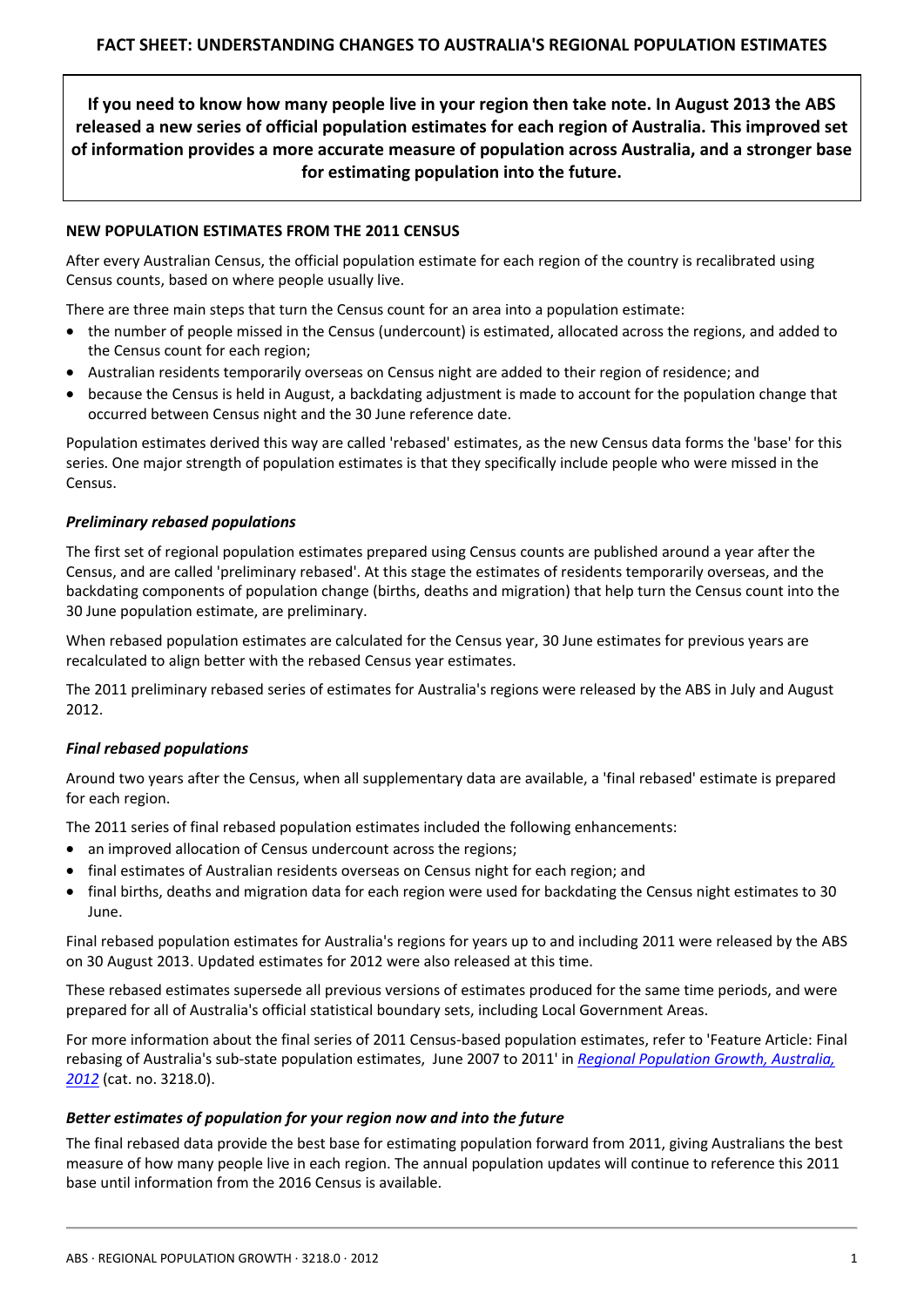**If you need to know how many people live in your region then take note. In August 2013 the ABS released a new series of official population estimates for each region of Australia. This improved set of information provides a more accurate measure of population across Australia, and a stronger base for estimating population into the future.**

## **NEW POPULATION ESTIMATES FROM THE 2011 CENSUS**

After every Australian Census, the official population estimate for each region of the country is recalibrated using Census counts, based on where people usually live.

There are three main steps that turn the Census count for an area into a population estimate:

- the number of people missed in the Census (undercount) is estimated, allocated across the regions, and added to the Census count for each region;
- Australian residents temporarily overseas on Census night are added to their region of residence; and
- because the Census is held in August, a backdating adjustment is made to account for the population change that occurred between Census night and the 30 June reference date.

Population estimates derived this way are called 'rebased' estimates, as the new Census data forms the 'base' for this series. One major strength of population estimates is that they specifically include people who were missed in the Census.

## *Preliminary rebased populations*

The first set of regional population estimates prepared using Census counts are published around a year after the Census, and are called 'preliminary rebased'. At this stage the estimates of residents temporarily overseas, and the backdating components of population change (births, deaths and migration) that help turn the Census count into the 30 June population estimate, are preliminary.

When rebased population estimates are calculated for the Census year, 30 June estimates for previous years are recalculated to align better with the rebased Census year estimates.

The 2011 preliminary rebased series of estimates for Australia's regions were released by the ABS in July and August 2012.

#### *Final rebased populations*

Around two years after the Census, when all supplementary data are available, a 'final rebased' estimate is prepared for each region.

The 2011 series of final rebased population estimates included the following enhancements:

- an improved allocation of Census undercount across the regions;
- final estimates of Australian residents overseas on Census night for each region; and
- final births, deaths and migration data for each region were used for backdating the Census night estimates to 30 June.

Final rebased population estimates for Australia's regions for years up to and including 2011 were released by the ABS on 30 August 2013. Updated estimates for 2012 were also released at this time.

These rebased estimates supersede all previous versions of estimates produced for the same time periods, and were prepared for all of Australia's official statistical boundary sets, including Local Government Areas.

For more information about the final series of 2011 Census-based population estimates, refer to 'Feature Article: Final rebasing of Australia's sub-state population estimates, June 2007 to 2011' in *[Regional Population Growth, Australia,](https://www.abs.gov.au/AUSSTATS/abs@.nsf/Lookup/3218.0Main+Features12012?OpenDocument)  [2012](https://www.abs.gov.au/AUSSTATS/abs@.nsf/Lookup/3218.0Main+Features12012?OpenDocument)* (cat. no. 3218.0).

#### *Better estimates of population for your region now and into the future*

The final rebased data provide the best base for estimating population forward from 2011, giving Australians the best measure of how many people live in each region. The annual population updates will continue to reference this 2011 base until information from the 2016 Census is available.